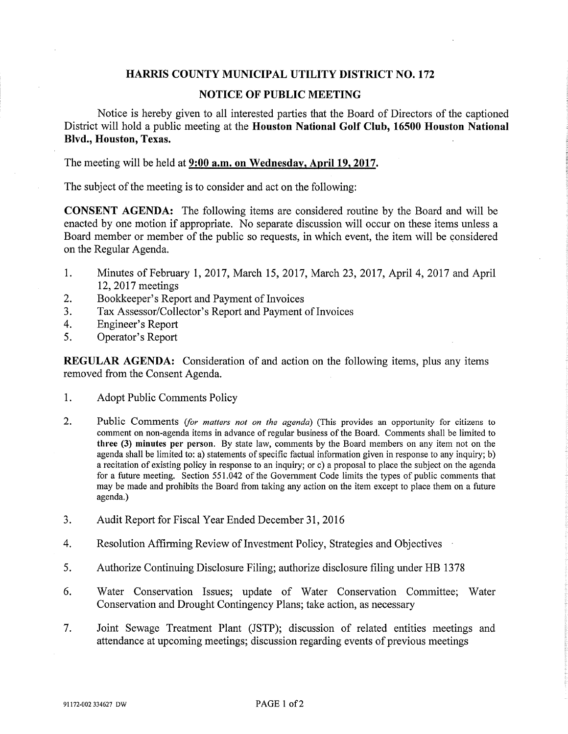## HARRIS COUNTY MUNICIPAL UTILITY DISTRICT NO. 172

## NOTICE OF PUBLIC MEETING

Notice is hereby given to all interested parties that the Board of Directors of the captioned District will hold a public meeting at the Houston National Golf Club, 16500 Houston National Blvd., Houston, Texas.

The meeting will be held at 9:00 a.m. on Wednesday, April 19, 2017.

The subject of the meeting is to consider and act on the following:

CONSENT AGENDA: The following items are considered routine by the Board and will be enacted by one motion if appropriate. No separate discussion will occur on these items unless a Board member or member of the public so requests, in which event, the item will be considered on the Regular Agenda.

- 1. Minutes ofFebmary 1, 2017, March 15, 2017, March 23, 2017, April 4, 2017 and April 12,2017 meetings
- 2. Bookkeeper's Report and Payment of Invoices
- 3. Tax Assessor/Collector's Report and Payment of Invoices
- 4. Engineer's Report
- 5. Operator's Report

REGULAR AGENDA: Consideration of and action on the following items, plus any items removed from the Consent Agenda.

- 1. Adopt Public Comments Policy
- 2. Public Comments (for matters not on the agenda) (This provides an opportunity for citizens to comment on non-agenda items in advance of regular business of the Board. Comments shall be limited to three (3) minutes per person. By state law, comments by the Board members on any item not on the agenda shall be limited to: a) statements of specific factual information given in response to any inquiry; b) a recitation of existing policy m response to an inquiry; or c) a proposal to place the subject on the agenda for a future meeting. Section 551.042 of the Government Code limits the types of public comments that may be made and prohibits the Board from taking any action on the item except to place them on a future agenda.)
- 3. Audit Report for Fiscal Year Ended December 31,2016
- 4. Resolution Affirming Review of Investment Policy, Strategies and Objectives
- 5. Authorize Continuing Disclosure Filing; authorize disclosure filing under HB 1378
- 6. Water Conservation Issues; update of Water Conservation Committee; Water Conservation and Drought Contingency Plans; take action, as necessary
- 7. Joint Sewage Treatment Plant (JSTP); discussion of related entities meetings and attendance at upcoming meetings; discussion regarding events of previous meetings